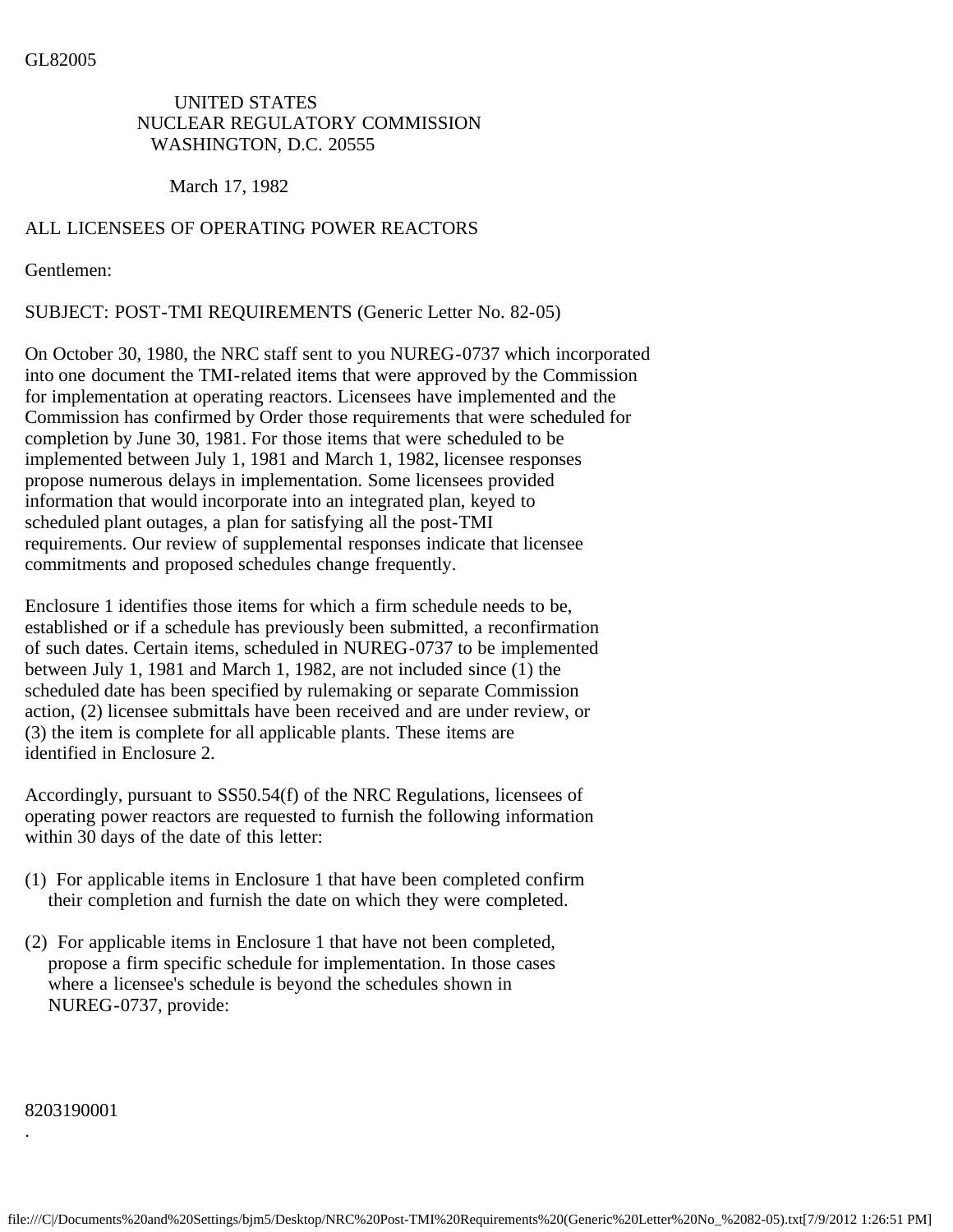## GL82005

## UNITED STATES NUCLEAR REGULATORY COMMISSION WASHINGTON, D.C. 20555

March 17, 1982

## ALL LICENSEES OF OPERATING POWER REACTORS

Gentlemen:

SUBJECT: POST-TMI REQUIREMENTS (Generic Letter No. 82-05)

On October 30, 1980, the NRC staff sent to you NUREG-0737 which incorporated into one document the TMI-related items that were approved by the Commission for implementation at operating reactors. Licensees have implemented and the Commission has confirmed by Order those requirements that were scheduled for completion by June 30, 1981. For those items that were scheduled to be implemented between July 1, 1981 and March 1, 1982, licensee responses propose numerous delays in implementation. Some licensees provided information that would incorporate into an integrated plan, keyed to scheduled plant outages, a plan for satisfying all the post-TMI requirements. Our review of supplemental responses indicate that licensee commitments and proposed schedules change frequently.

Enclosure 1 identifies those items for which a firm schedule needs to be, established or if a schedule has previously been submitted, a reconfirmation of such dates. Certain items, scheduled in NUREG-0737 to be implemented between July 1, 1981 and March 1, 1982, are not included since (1) the scheduled date has been specified by rulemaking or separate Commission action, (2) licensee submittals have been received and are under review, or (3) the item is complete for all applicable plants. These items are identified in Enclosure 2.

Accordingly, pursuant to SS50.54(f) of the NRC Regulations, licensees of operating power reactors are requested to furnish the following information within 30 days of the date of this letter:

- (1) For applicable items in Enclosure 1 that have been completed confirm their completion and furnish the date on which they were completed.
- (2) For applicable items in Enclosure 1 that have not been completed, propose a firm specific schedule for implementation. In those cases where a licensee's schedule is beyond the schedules shown in NUREG-0737, provide:

8203190001

.